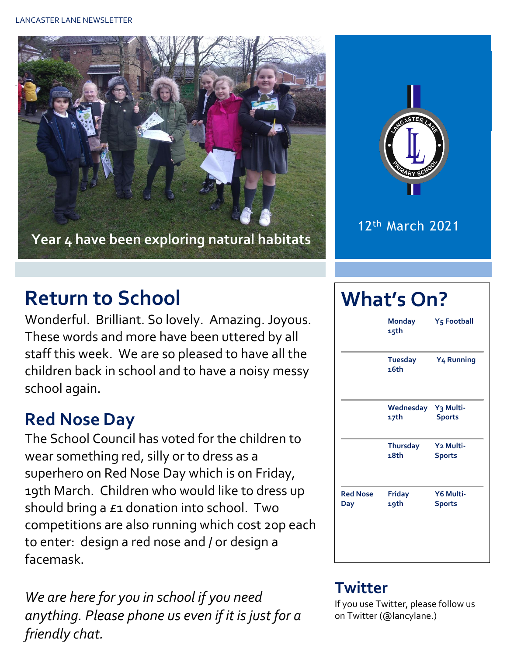



12th March 2021

# **Return to School**

Wonderful. Brilliant. So lovely. Amazing. Joyous. These words and more have been uttered by all staff this week. We are so pleased to have all the children back in school and to have a noisy messy school again.

### **Red Nose Day**

The School Council has voted for the children to wear something red, silly or to dress as a superhero on Red Nose Day which is on Friday, 19th March. Children who would like to dress up should bring a £1 donation into school. Two competitions are also running which cost 20p each to enter: design a red nose and / or design a facemask.

*We are here for you in school if you need anything. Please phone us even if it is just for a friendly chat.* 

# **What's On? Monday Y5 Football**

|                        | 15th                        |                                        |  |
|------------------------|-----------------------------|----------------------------------------|--|
|                        | <b>Tuesday</b><br>16th      | Y <sub>4</sub> Running                 |  |
|                        | Wednesday Y3 Multi-<br>17th | <b>Sports</b>                          |  |
|                        | <b>Thursday</b><br>18th     | Y <sub>2</sub> Multi-<br><b>Sports</b> |  |
| <b>Red Nose</b><br>Day | <b>Friday</b><br>19th       | Y6 Multi-<br><b>Sports</b>             |  |
|                        |                             |                                        |  |

#### **Twitter**

If you use Twitter, please follow us on Twitter (@lancylane.)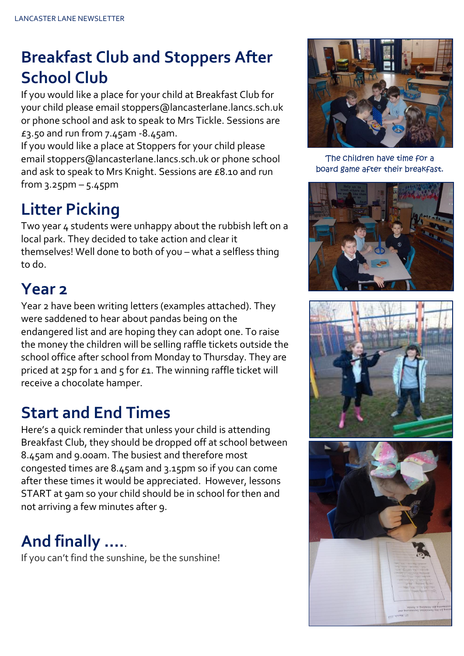# **Breakfast Club and Stoppers After School Club**

If you would like a place for your child at Breakfast Club for your child please email stoppers@lancasterlane.lancs.sch.uk or phone school and ask to speak to Mrs Tickle. Sessions are £3.50 and run from 7.45am -8.45am.

If you would like a place at Stoppers for your child please email stoppers@lancasterlane.lancs.sch.uk or phone school and ask to speak to Mrs Knight. Sessions are £8.10 and run from  $3.25$ pm –  $5.45$ pm

### **Litter Picking**

Two year 4 students were unhappy about the rubbish left on a local park. They decided to take action and clear it themselves! Well done to both of you – what a selfless thing to do.

### **Year 2**

Year 2 have been writing letters (examples attached). They were saddened to hear about pandas being on the endangered list and are hoping they can adopt one. To raise the money the children will be selling raffle tickets outside the school office after school from Monday to Thursday. They are priced at 25p for 1 and 5 for  $\epsilon$ 1. The winning raffle ticket will receive a chocolate hamper.

## **Start and End Times**

Here's a quick reminder that unless your child is attending Breakfast Club, they should be dropped off at school between 8.45am and 9.00am. The busiest and therefore most congested times are 8.45am and 3.15pm so if you can come after these times it would be appreciated. However, lessons START at 9am so your child should be in school for then and not arriving a few minutes after 9.

# **And finally ….**.

If you can't find the sunshine, be the sunshine!



The children have time for a board game after their breakfast.